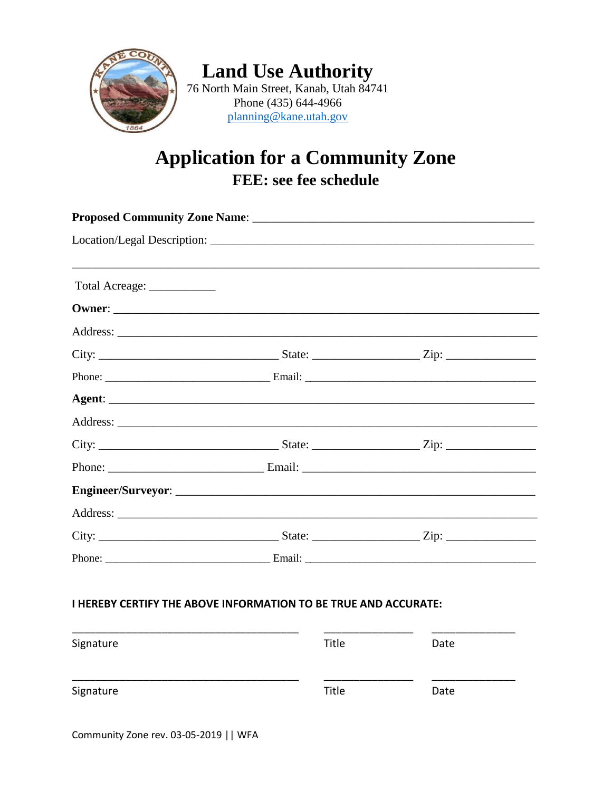

**Land Use Authority** 76 North Main Street, Kanab, Utah 84741 Phone (435) 644-4966 planning@kane.utah.gov

## **Application for a Community Zone** FEE: see fee schedule

| Total Acreage: ___________ |                                                                        |  |  |  |  |
|----------------------------|------------------------------------------------------------------------|--|--|--|--|
|                            |                                                                        |  |  |  |  |
|                            |                                                                        |  |  |  |  |
|                            |                                                                        |  |  |  |  |
|                            |                                                                        |  |  |  |  |
|                            |                                                                        |  |  |  |  |
|                            |                                                                        |  |  |  |  |
|                            |                                                                        |  |  |  |  |
|                            |                                                                        |  |  |  |  |
|                            |                                                                        |  |  |  |  |
|                            |                                                                        |  |  |  |  |
|                            |                                                                        |  |  |  |  |
|                            |                                                                        |  |  |  |  |
|                            |                                                                        |  |  |  |  |
|                            | <b>I HEREBY CERTIFY THE ABOVE INFORMATION TO BE TRUE AND ACCURATE:</b> |  |  |  |  |

| Signature | Title | Date |
|-----------|-------|------|
|           |       |      |
| Signature | Title | Date |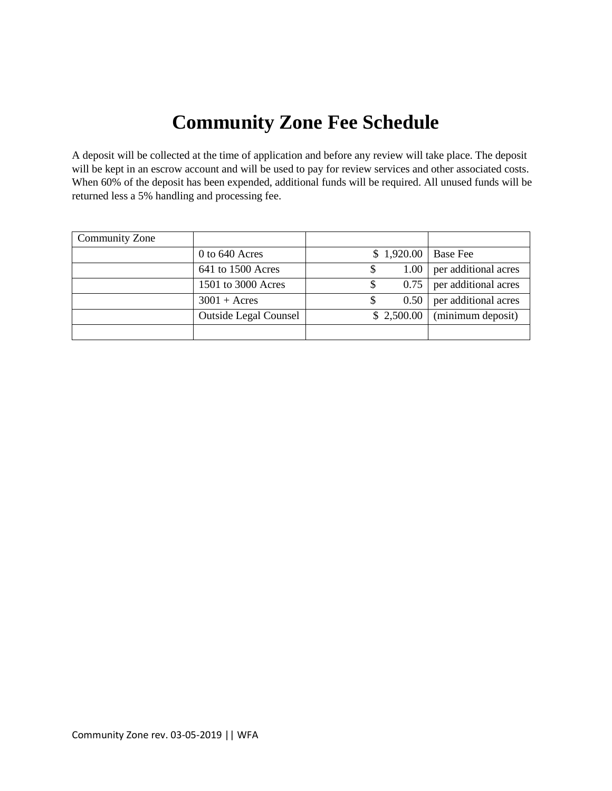## **Community Zone Fee Schedule**

A deposit will be collected at the time of application and before any review will take place. The deposit will be kept in an escrow account and will be used to pay for review services and other associated costs. When 60% of the deposit has been expended, additional funds will be required. All unused funds will be returned less a 5% handling and processing fee.

| Community Zone |                              |            |                      |
|----------------|------------------------------|------------|----------------------|
|                | $0$ to 640 Acres             | \$1,920.00 | <b>Base Fee</b>      |
|                | 641 to 1500 Acres            | 1.00       | per additional acres |
|                | 1501 to 3000 Acres           | 0.75       | per additional acres |
|                | $3001 + \text{Acres}$        | 0.50       | per additional acres |
|                | <b>Outside Legal Counsel</b> | \$2,500.00 | (minimum deposit)    |
|                |                              |            |                      |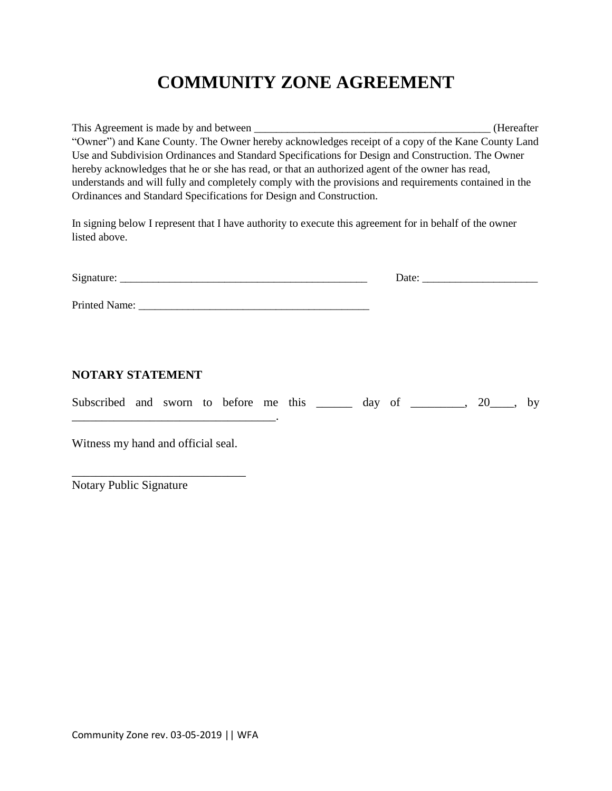## **COMMUNITY ZONE AGREEMENT**

This Agreement is made by and between \_\_\_\_\_\_\_\_\_\_\_\_\_\_\_\_\_\_\_\_\_\_\_\_\_\_\_\_\_\_\_\_\_\_\_\_\_\_\_\_\_\_\_ (Hereafter "Owner") and Kane County. The Owner hereby acknowledges receipt of a copy of the Kane County Land Use and Subdivision Ordinances and Standard Specifications for Design and Construction. The Owner hereby acknowledges that he or she has read, or that an authorized agent of the owner has read, understands and will fully and completely comply with the provisions and requirements contained in the Ordinances and Standard Specifications for Design and Construction.

In signing below I represent that I have authority to execute this agreement for in behalf of the owner listed above.

| NOTARY STATEMENT                                                          |  |
|---------------------------------------------------------------------------|--|
| Subscribed and sworn to before me this _______ day of ________, 20___, by |  |
|                                                                           |  |

Witness my hand and official seal.

\_\_\_\_\_\_\_\_\_\_\_\_\_\_\_\_\_\_\_\_\_\_\_\_\_\_\_\_\_

Notary Public Signature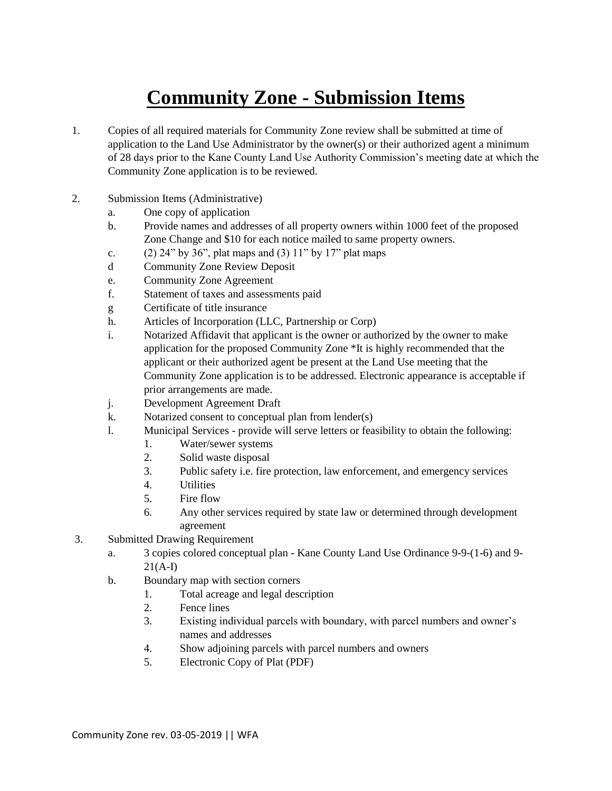## **Community Zone - Submission Items**

- 1. Copies of all required materials for Community Zone review shall be submitted at time of application to the Land Use Administrator by the owner(s) or their authorized agent a minimum of 28 days prior to the Kane County Land Use Authority Commission's meeting date at which the Community Zone application is to be reviewed.
- 2. Submission Items (Administrative)
	- a. One copy of application
	- b. Provide names and addresses of all property owners within 1000 feet of the proposed Zone Change and \$10 for each notice mailed to same property owners.
	- c. (2) 24" by 36", plat maps and (3)  $11"$  by  $17"$  plat maps
	- d Community Zone Review Deposit
	- e. Community Zone Agreement
	- f. Statement of taxes and assessments paid
	- g Certificate of title insurance
	- h. Articles of Incorporation (LLC, Partnership or Corp)
	- i. Notarized Affidavit that applicant is the owner or authorized by the owner to make application for the proposed Community Zone \*It is highly recommended that the applicant or their authorized agent be present at the Land Use meeting that the Community Zone application is to be addressed. Electronic appearance is acceptable if prior arrangements are made.
	- j. Development Agreement Draft
	- k. Notarized consent to conceptual plan from lender(s)
	- l. Municipal Services provide will serve letters or feasibility to obtain the following:
		- 1. Water/sewer systems
		- 2. Solid waste disposal
		- 3. Public safety i.e. fire protection, law enforcement, and emergency services
		- 4. Utilities
		- 5. Fire flow
		- 6. Any other services required by state law or determined through development agreement
- 3. Submitted Drawing Requirement
	- a. 3 copies colored conceptual plan Kane County Land Use Ordinance 9-9-(1-6) and 9-  $21(A-I)$
	- b. Boundary map with section corners
		- 1. Total acreage and legal description
		- 2. Fence lines
		- 3. Existing individual parcels with boundary, with parcel numbers and owner's names and addresses
		- 4. Show adjoining parcels with parcel numbers and owners
		- 5. Electronic Copy of Plat (PDF)